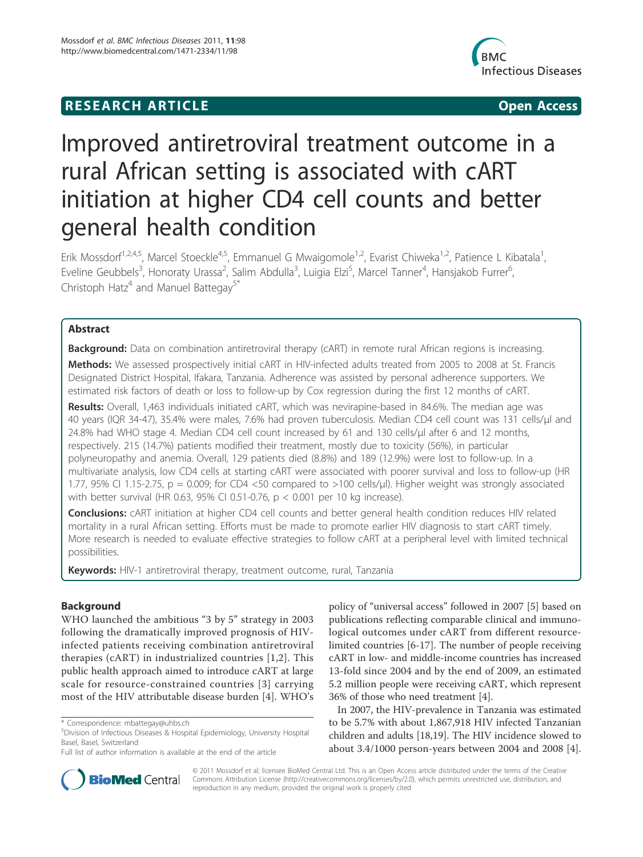# **RESEARCH ARTICLE Example 2018 12:00 Department of the Contract Open Access**



# Improved antiretroviral treatment outcome in a rural African setting is associated with cART initiation at higher CD4 cell counts and better general health condition

Erik Mossdorf<sup>1,2,4,5</sup>, Marcel Stoeckle<sup>4,5</sup>, Emmanuel G Mwaigomole<sup>1,2</sup>, Evarist Chiweka<sup>1,2</sup>, Patience L Kibatala<sup>1</sup>, , Eveline Geubbels<sup>3</sup>, Honoraty Urassa<sup>2</sup>, Salim Abdulla<sup>3</sup>, Luigia Elzi<sup>5</sup>, Marcel Tanner<sup>4</sup>, Hansjakob Furrer<sup>6</sup> י<br>, Christoph Hatz<sup>4</sup> and Manuel Battegay<sup>5\*</sup>

# Abstract

Background: Data on combination antiretroviral therapy (cART) in remote rural African regions is increasing.

Methods: We assessed prospectively initial cART in HIV-infected adults treated from 2005 to 2008 at St. Francis Designated District Hospital, Ifakara, Tanzania. Adherence was assisted by personal adherence supporters. We estimated risk factors of death or loss to follow-up by Cox regression during the first 12 months of cART.

Results: Overall, 1,463 individuals initiated cART, which was nevirapine-based in 84.6%. The median age was 40 years (IQR 34-47), 35.4% were males, 7.6% had proven tuberculosis. Median CD4 cell count was 131 cells/μl and 24.8% had WHO stage 4. Median CD4 cell count increased by 61 and 130 cells/μl after 6 and 12 months, respectively. 215 (14.7%) patients modified their treatment, mostly due to toxicity (56%), in particular polyneuropathy and anemia. Overall, 129 patients died (8.8%) and 189 (12.9%) were lost to follow-up. In a multivariate analysis, low CD4 cells at starting cART were associated with poorer survival and loss to follow-up (HR 1.77, 95% CI 1.15-2.75,  $p = 0.009$ ; for CD4 <50 compared to >100 cells/µl). Higher weight was strongly associated with better survival (HR 0.63, 95% CI 0.51-0.76, p < 0.001 per 10 kg increase).

**Conclusions:** cART initiation at higher CD4 cell counts and better general health condition reduces HIV related mortality in a rural African setting. Efforts must be made to promote earlier HIV diagnosis to start cART timely. More research is needed to evaluate effective strategies to follow cART at a peripheral level with limited technical possibilities.

Keywords: HIV-1 antiretroviral therapy, treatment outcome, rural, Tanzania

# Background

WHO launched the ambitious "3 by 5" strategy in 2003 following the dramatically improved prognosis of HIVinfected patients receiving combination antiretroviral therapies (cART) in industrialized countries [1,2]. This public health approach aimed to introduce cART at large scale for resource-constrained countries [3] carrying most of the HIV attributable disease burden [4]. WHO's

policy of "universal access" followed in 2007 [5] based on publications reflecting comparable clinical and immunological outcomes under cART from different resourcelimited countries [6-17]. The number of people receiving cART in low- and middle-income countries has increased 13-fold since 2004 and by the end of 2009, an estimated 5.2 million people were receiving cART, which represent 36% of those who need treatment [4].

In 2007, the HIV-prevalence in Tanzania was estimated to be 5.7% with about 1,867,918 HIV infected Tanzanian children and adults [18,19]. The HIV incidence slowed to about 3.4/1000 person-years between 2004 and 2008 [4].



© 2011 Mossdorf et al; licensee BioMed Central Ltd. This is an Open Access article distributed under the terms of the Creative Commons Attribution License (http://creativecommons.org/licenses/by/2.0), which permits unrestricted use, distribution, and reproduction in any medium, provided the original work is properly cited

<sup>\*</sup> Correspondence: mbattegay@uhbs.ch

<sup>5</sup> Division of Infectious Diseases & Hospital Epidemiology, University Hospital Basel, Basel, Switzerland

Full list of author information is available at the end of the article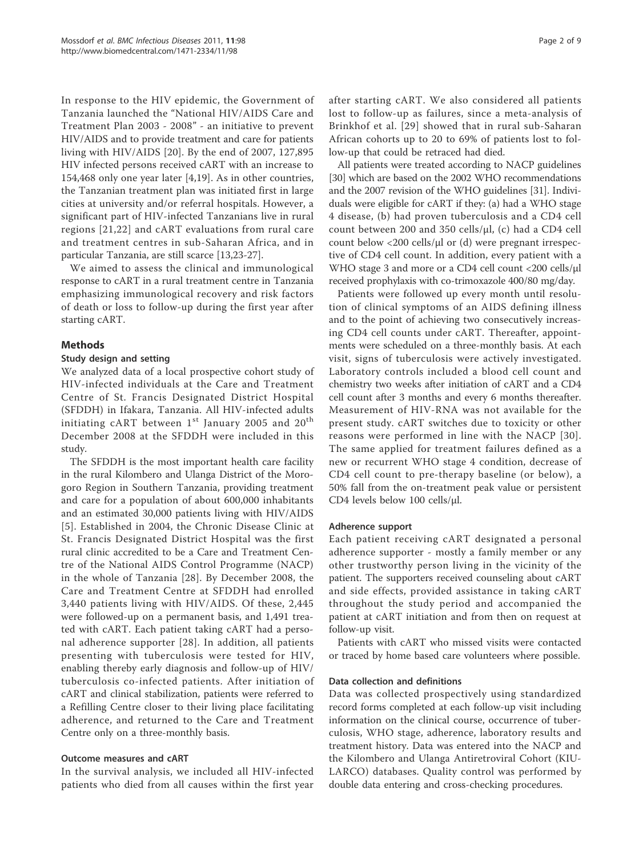In response to the HIV epidemic, the Government of Tanzania launched the "National HIV/AIDS Care and Treatment Plan 2003 - 2008" - an initiative to prevent HIV/AIDS and to provide treatment and care for patients living with HIV/AIDS [20]. By the end of 2007, 127,895 HIV infected persons received cART with an increase to 154,468 only one year later [4,19]. As in other countries, the Tanzanian treatment plan was initiated first in large cities at university and/or referral hospitals. However, a significant part of HIV-infected Tanzanians live in rural regions [21,22] and cART evaluations from rural care and treatment centres in sub-Saharan Africa, and in particular Tanzania, are still scarce [13,23-27].

We aimed to assess the clinical and immunological response to cART in a rural treatment centre in Tanzania emphasizing immunological recovery and risk factors of death or loss to follow-up during the first year after starting cART.

# Methods

#### Study design and setting

We analyzed data of a local prospective cohort study of HIV-infected individuals at the Care and Treatment Centre of St. Francis Designated District Hospital (SFDDH) in Ifakara, Tanzania. All HIV-infected adults initiating  $cART$  between  $1<sup>st</sup>$  January 2005 and  $20<sup>th</sup>$ December 2008 at the SFDDH were included in this study.

The SFDDH is the most important health care facility in the rural Kilombero and Ulanga District of the Morogoro Region in Southern Tanzania, providing treatment and care for a population of about 600,000 inhabitants and an estimated 30,000 patients living with HIV/AIDS [5]. Established in 2004, the Chronic Disease Clinic at St. Francis Designated District Hospital was the first rural clinic accredited to be a Care and Treatment Centre of the National AIDS Control Programme (NACP) in the whole of Tanzania [28]. By December 2008, the Care and Treatment Centre at SFDDH had enrolled 3,440 patients living with HIV/AIDS. Of these, 2,445 were followed-up on a permanent basis, and 1,491 treated with cART. Each patient taking cART had a personal adherence supporter [28]. In addition, all patients presenting with tuberculosis were tested for HIV, enabling thereby early diagnosis and follow-up of HIV/ tuberculosis co-infected patients. After initiation of cART and clinical stabilization, patients were referred to a Refilling Centre closer to their living place facilitating adherence, and returned to the Care and Treatment Centre only on a three-monthly basis.

# Outcome measures and cART

In the survival analysis, we included all HIV-infected patients who died from all causes within the first year after starting cART. We also considered all patients lost to follow-up as failures, since a meta-analysis of Brinkhof et al. [29] showed that in rural sub-Saharan African cohorts up to 20 to 69% of patients lost to follow-up that could be retraced had died.

All patients were treated according to NACP guidelines [30] which are based on the 2002 WHO recommendations and the 2007 revision of the WHO guidelines [31]. Individuals were eligible for cART if they: (a) had a WHO stage 4 disease, (b) had proven tuberculosis and a CD4 cell count between 200 and 350 cells/μl, (c) had a CD4 cell count below <200 cells/μl or (d) were pregnant irrespective of CD4 cell count. In addition, every patient with a WHO stage 3 and more or a CD4 cell count <200 cells/μl received prophylaxis with co-trimoxazole 400/80 mg/day.

Patients were followed up every month until resolution of clinical symptoms of an AIDS defining illness and to the point of achieving two consecutively increasing CD4 cell counts under cART. Thereafter, appointments were scheduled on a three-monthly basis. At each visit, signs of tuberculosis were actively investigated. Laboratory controls included a blood cell count and chemistry two weeks after initiation of cART and a CD4 cell count after 3 months and every 6 months thereafter. Measurement of HIV-RNA was not available for the present study. cART switches due to toxicity or other reasons were performed in line with the NACP [30]. The same applied for treatment failures defined as a new or recurrent WHO stage 4 condition, decrease of CD4 cell count to pre-therapy baseline (or below), a 50% fall from the on-treatment peak value or persistent CD4 levels below 100 cells/μl.

#### Adherence support

Each patient receiving cART designated a personal adherence supporter - mostly a family member or any other trustworthy person living in the vicinity of the patient. The supporters received counseling about cART and side effects, provided assistance in taking cART throughout the study period and accompanied the patient at cART initiation and from then on request at follow-up visit.

Patients with cART who missed visits were contacted or traced by home based care volunteers where possible.

#### Data collection and definitions

Data was collected prospectively using standardized record forms completed at each follow-up visit including information on the clinical course, occurrence of tuberculosis, WHO stage, adherence, laboratory results and treatment history. Data was entered into the NACP and the Kilombero and Ulanga Antiretroviral Cohort (KIU-LARCO) databases. Quality control was performed by double data entering and cross-checking procedures.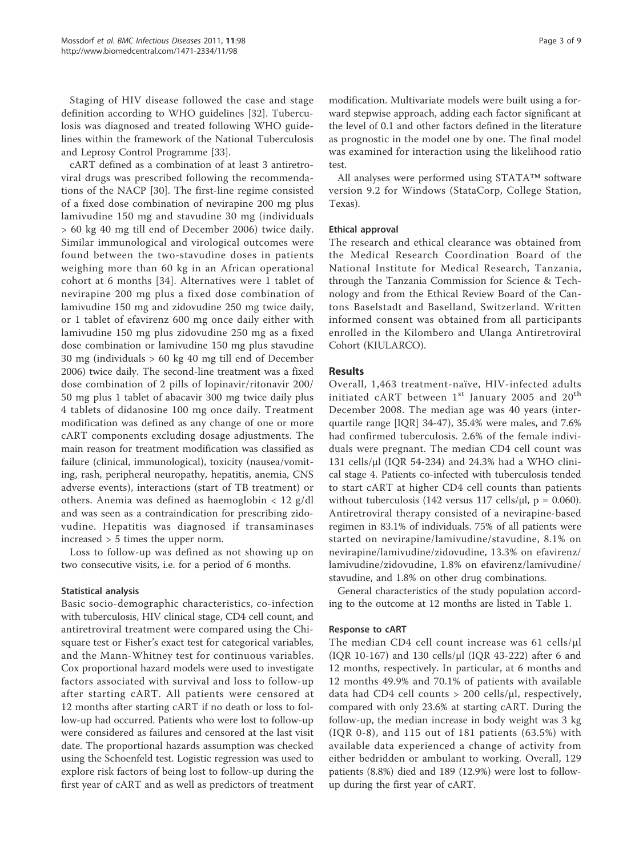Staging of HIV disease followed the case and stage definition according to WHO guidelines [32]. Tuberculosis was diagnosed and treated following WHO guidelines within the framework of the National Tuberculosis and Leprosy Control Programme [33].

cART defined as a combination of at least 3 antiretroviral drugs was prescribed following the recommendations of the NACP [30]. The first-line regime consisted of a fixed dose combination of nevirapine 200 mg plus lamivudine 150 mg and stavudine 30 mg (individuals > 60 kg 40 mg till end of December 2006) twice daily. Similar immunological and virological outcomes were found between the two-stavudine doses in patients weighing more than 60 kg in an African operational cohort at 6 months [34]. Alternatives were 1 tablet of nevirapine 200 mg plus a fixed dose combination of lamivudine 150 mg and zidovudine 250 mg twice daily, or 1 tablet of efavirenz 600 mg once daily either with lamivudine 150 mg plus zidovudine 250 mg as a fixed dose combination or lamivudine 150 mg plus stavudine 30 mg (individuals > 60 kg 40 mg till end of December 2006) twice daily. The second-line treatment was a fixed dose combination of 2 pills of lopinavir/ritonavir 200/ 50 mg plus 1 tablet of abacavir 300 mg twice daily plus 4 tablets of didanosine 100 mg once daily. Treatment modification was defined as any change of one or more cART components excluding dosage adjustments. The main reason for treatment modification was classified as failure (clinical, immunological), toxicity (nausea/vomiting, rash, peripheral neuropathy, hepatitis, anemia, CNS adverse events), interactions (start of TB treatment) or others. Anemia was defined as haemoglobin < 12 g/dl and was seen as a contraindication for prescribing zidovudine. Hepatitis was diagnosed if transaminases increased > 5 times the upper norm.

Loss to follow-up was defined as not showing up on two consecutive visits, i.e. for a period of 6 months.

# Statistical analysis

Basic socio-demographic characteristics, co-infection with tuberculosis, HIV clinical stage, CD4 cell count, and antiretroviral treatment were compared using the Chisquare test or Fisher's exact test for categorical variables, and the Mann-Whitney test for continuous variables. Cox proportional hazard models were used to investigate factors associated with survival and loss to follow-up after starting cART. All patients were censored at 12 months after starting cART if no death or loss to follow-up had occurred. Patients who were lost to follow-up were considered as failures and censored at the last visit date. The proportional hazards assumption was checked using the Schoenfeld test. Logistic regression was used to explore risk factors of being lost to follow-up during the first year of cART and as well as predictors of treatment modification. Multivariate models were built using a forward stepwise approach, adding each factor significant at the level of 0.1 and other factors defined in the literature as prognostic in the model one by one. The final model was examined for interaction using the likelihood ratio test.

All analyses were performed using STATA™ software version 9.2 for Windows (StataCorp, College Station, Texas).

#### Ethical approval

The research and ethical clearance was obtained from the Medical Research Coordination Board of the National Institute for Medical Research, Tanzania, through the Tanzania Commission for Science & Technology and from the Ethical Review Board of the Cantons Baselstadt and Baselland, Switzerland. Written informed consent was obtained from all participants enrolled in the Kilombero and Ulanga Antiretroviral Cohort (KIULARCO).

#### Results

Overall, 1,463 treatment-naïve, HIV-infected adults initiated  $cART$  between  $1<sup>st</sup>$  January 2005 and  $20<sup>th</sup>$ December 2008. The median age was 40 years (interquartile range [IQR] 34-47), 35.4% were males, and 7.6% had confirmed tuberculosis. 2.6% of the female individuals were pregnant. The median CD4 cell count was 131 cells/μl (IQR 54-234) and 24.3% had a WHO clinical stage 4. Patients co-infected with tuberculosis tended to start cART at higher CD4 cell counts than patients without tuberculosis (142 versus 117 cells/ $\mu$ l, p = 0.060). Antiretroviral therapy consisted of a nevirapine-based regimen in 83.1% of individuals. 75% of all patients were started on nevirapine/lamivudine/stavudine, 8.1% on nevirapine/lamivudine/zidovudine, 13.3% on efavirenz/ lamivudine/zidovudine, 1.8% on efavirenz/lamivudine/ stavudine, and 1.8% on other drug combinations.

General characteristics of the study population according to the outcome at 12 months are listed in Table 1.

#### Response to cART

The median CD4 cell count increase was 61 cells/μl (IQR 10-167) and 130 cells/μl (IQR 43-222) after 6 and 12 months, respectively. In particular, at 6 months and 12 months 49.9% and 70.1% of patients with available data had CD4 cell counts  $> 200$  cells/ $\mu$ l, respectively, compared with only 23.6% at starting cART. During the follow-up, the median increase in body weight was 3 kg (IQR 0-8), and 115 out of 181 patients (63.5%) with available data experienced a change of activity from either bedridden or ambulant to working. Overall, 129 patients (8.8%) died and 189 (12.9%) were lost to followup during the first year of cART.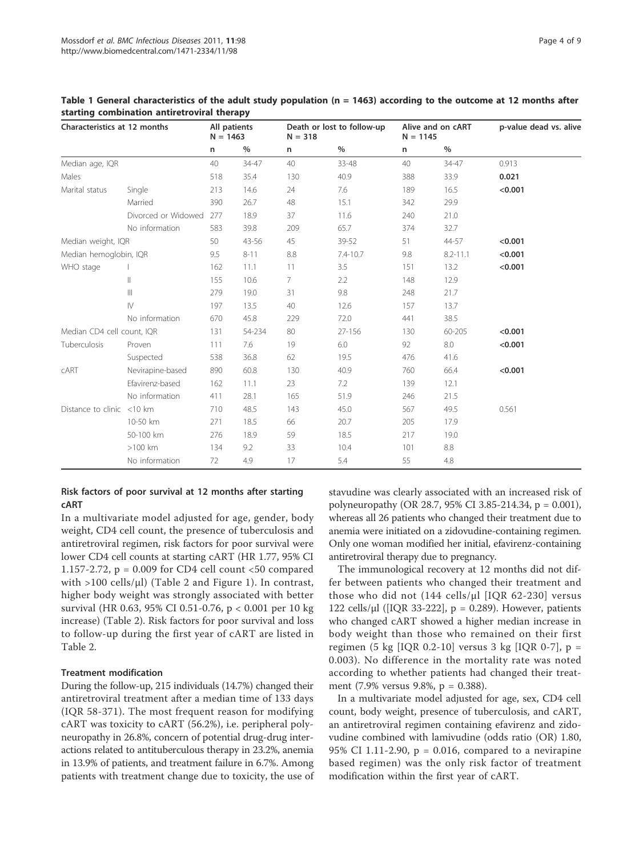| Characteristics at 12 months |                     | All patients<br>$N = 1463$ |          | $N = 318$ | Death or lost to follow-up | $N = 1145$ | Alive and on cART | p-value dead vs. alive |  |
|------------------------------|---------------------|----------------------------|----------|-----------|----------------------------|------------|-------------------|------------------------|--|
|                              |                     | n                          | $\%$     | n         | %                          | n          | $\%$              |                        |  |
| Median age, IQR              |                     | 40                         | 34-47    | 40        | 33-48                      | 40         | 34-47             | 0.913                  |  |
| Males                        |                     | 518                        | 35.4     | 130       | 40.9                       | 388        | 33.9              | 0.021                  |  |
| Marital status               | Single              | 213                        | 14.6     | 24        | 7.6                        | 189        | 16.5              | < 0.001                |  |
|                              | Married             | 390                        | 26.7     | 48        | 15.1                       | 342        | 29.9              |                        |  |
|                              | Divorced or Widowed | 277                        | 18.9     | 37        | 11.6                       | 240        | 21.0              |                        |  |
|                              | No information      | 583                        | 39.8     | 209       | 65.7                       | 374        | 32.7              |                        |  |
| Median weight, IQR           |                     | 50                         | 43-56    | 45        | 39-52                      | 51         | 44-57             | < 0.001                |  |
| Median hemoglobin, IQR       |                     | 9.5                        | $8 - 11$ | 8.8       | $7.4 - 10.7$               | 9.8        | $8.2 - 11.1$      | < 0.001                |  |
| WHO stage                    |                     | 162                        | 11.1     | 11        | 3.5                        | 151        | 13.2              | < 0.001                |  |
|                              | $\mathbb{I}$        | 155                        | 10.6     | 7         | 2.2                        | 148        | 12.9              |                        |  |
|                              | Ш                   | 279                        | 19.0     | 31        | 9.8                        | 248        | 21.7              |                        |  |
|                              | $\mathsf{IV}$       | 197                        | 13.5     | 40        | 12.6                       | 157        | 13.7              |                        |  |
|                              | No information      | 670                        | 45.8     | 229       | 72.0                       | 441        | 38.5              |                        |  |
| Median CD4 cell count, IQR   |                     | 131                        | 54-234   | 80        | 27-156                     | 130        | 60-205            | < 0.001                |  |
| Tuberculosis                 | Proven              | 111                        | 7.6      | 19        | 6.0                        | 92         | 8.0               | < 0.001                |  |
|                              | Suspected           | 538                        | 36.8     | 62        | 19.5                       | 476        | 41.6              |                        |  |
| cART                         | Nevirapine-based    | 890                        | 60.8     | 130       | 40.9                       | 760        | 66.4              | < 0.001                |  |
|                              | Efavirenz-based     | 162                        | 11.1     | 23        | 7.2                        | 139        | 12.1              |                        |  |
|                              | No information      | 411                        | 28.1     | 165       | 51.9                       | 246        | 21.5              |                        |  |
| Distance to clinic <10 km    |                     | 710                        | 48.5     | 143       | 45.0                       | 567        | 49.5              | 0.561                  |  |
|                              | 10-50 km            | 271                        | 18.5     | 66        | 20.7                       | 205        | 17.9              |                        |  |
|                              | 50-100 km           | 276                        | 18.9     | 59        | 18.5                       | 217        | 19.0              |                        |  |
|                              | $>100$ km           | 134                        | 9.2      | 33        | 10.4                       | 101        | 8.8               |                        |  |
|                              | No information      | 72                         | 4.9      | 17        | 5.4                        | 55         | 4.8               |                        |  |

Table 1 General characteristics of the adult study population (n = 1463) according to the outcome at 12 months after starting combination antiretroviral therapy

# Risk factors of poor survival at 12 months after starting cART

In a multivariate model adjusted for age, gender, body weight, CD4 cell count, the presence of tuberculosis and antiretroviral regimen, risk factors for poor survival were lower CD4 cell counts at starting cART (HR 1.77, 95% CI 1.157-2.72,  $p = 0.009$  for CD4 cell count <50 compared with  $>100$  cells/ $\mu$ l) (Table 2 and Figure 1). In contrast, higher body weight was strongly associated with better survival (HR 0.63, 95% CI 0.51-0.76, p < 0.001 per 10 kg increase) (Table 2). Risk factors for poor survival and loss to follow-up during the first year of cART are listed in Table 2.

# Treatment modification

During the follow-up, 215 individuals (14.7%) changed their antiretroviral treatment after a median time of 133 days (IQR 58-371). The most frequent reason for modifying cART was toxicity to cART (56.2%), i.e. peripheral polyneuropathy in 26.8%, concern of potential drug-drug interactions related to antituberculous therapy in 23.2%, anemia in 13.9% of patients, and treatment failure in 6.7%. Among patients with treatment change due to toxicity, the use of stavudine was clearly associated with an increased risk of polyneuropathy (OR 28.7, 95% CI 3.85-214.34, p = 0.001), whereas all 26 patients who changed their treatment due to anemia were initiated on a zidovudine-containing regimen. Only one woman modified her initial, efavirenz-containing antiretroviral therapy due to pregnancy.

The immunological recovery at 12 months did not differ between patients who changed their treatment and those who did not (144 cells/μl [IQR 62-230] versus 122 cells/ $\mu$ l ([IQR 33-222],  $p = 0.289$ ). However, patients who changed cART showed a higher median increase in body weight than those who remained on their first regimen (5 kg [IQR 0.2-10] versus 3 kg [IQR 0-7], p = 0.003). No difference in the mortality rate was noted according to whether patients had changed their treatment (7.9% versus 9.8%, p = 0.388).

In a multivariate model adjusted for age, sex, CD4 cell count, body weight, presence of tuberculosis, and cART, an antiretroviral regimen containing efavirenz and zidovudine combined with lamivudine (odds ratio (OR) 1.80, 95% CI 1.11-2.90,  $p = 0.016$ , compared to a nevirapine based regimen) was the only risk factor of treatment modification within the first year of cART.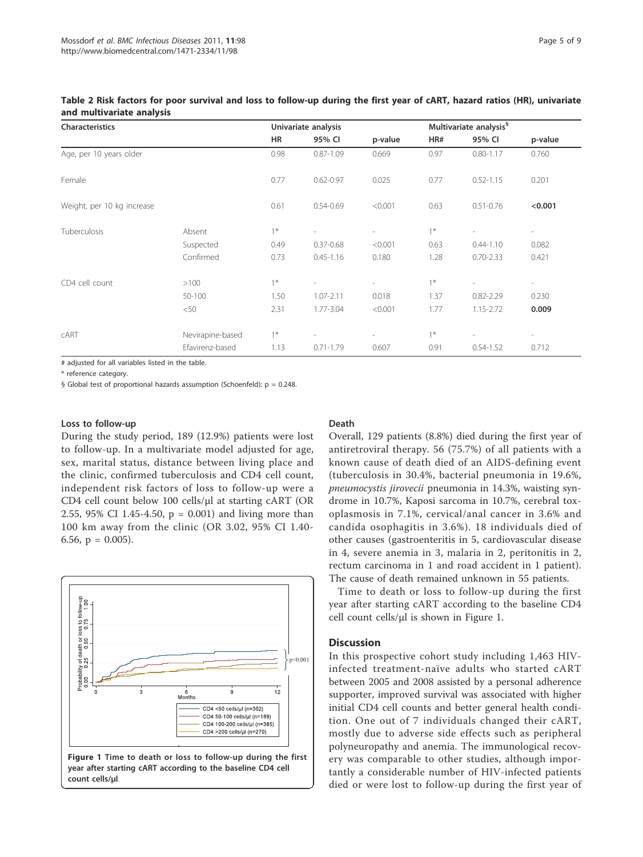| <b>Characteristics</b>     |                  |      | Univariate analysis      |                          | Multivariate analysis <sup>§</sup> |                          |                          |  |
|----------------------------|------------------|------|--------------------------|--------------------------|------------------------------------|--------------------------|--------------------------|--|
|                            |                  | HR   | 95% CI                   | p-value                  | HR#                                | 95% CI                   | p-value                  |  |
| Age, per 10 years older    |                  | 0.98 | $0.87 - 1.09$            | 0.669                    | 0.97                               | $0.80 - 1.17$            | 0.760                    |  |
| Female                     |                  | 0.77 | $0.62 - 0.97$            | 0.025                    | 0.77                               | $0.52 - 1.15$            | 0.201                    |  |
| Weight, per 10 kg increase |                  | 0.61 | $0.54 - 0.69$            | < 0.001                  | 0.63                               | $0.51 - 0.76$            | < 0.001                  |  |
| Tuberculosis               | Absent           | $1*$ | $\overline{a}$           |                          | $1*$                               |                          | $\overline{\phantom{a}}$ |  |
|                            | Suspected        | 0.49 | $0.37 - 0.68$            | < 0.001                  | 0.63                               | $0.44 - 1.10$            | 0.082                    |  |
|                            | Confirmed        | 0.73 | $0.45 - 1.16$            | 0.180                    | 1.28                               | $0.70 - 2.33$            | 0.421                    |  |
| CD4 cell count             | >100             | $1*$ | $\overline{\phantom{a}}$ | $\overline{\phantom{a}}$ | $1*$                               | $\overline{\phantom{a}}$ | $\overline{\phantom{a}}$ |  |
|                            | 50-100           | 1.50 | $1.07 - 2.11$            | 0.018                    | 1.37                               | $0.82 - 2.29$            | 0.230                    |  |
|                            | < 50             | 2.31 | 1.77-3.04                | < 0.001                  | 1.77                               | 1.15-2.72                | 0.009                    |  |
| cART                       | Nevirapine-based | $1*$ | $\overline{a}$           | $\overline{\phantom{a}}$ | $1*$                               | $\overline{\phantom{a}}$ | $\overline{\phantom{a}}$ |  |
|                            | Efavirenz-based  | 1.13 | $0.71 - 1.79$            | 0.607                    | 0.91                               | $0.54 - 1.52$            | 0.712                    |  |

| Table 2 Risk factors for poor survival and loss to follow-up during the first year of cART, hazard ratios (HR), univariate |  |  |  |  |  |  |
|----------------------------------------------------------------------------------------------------------------------------|--|--|--|--|--|--|
| and multivariate analysis                                                                                                  |  |  |  |  |  |  |

# adjusted for all variables listed in the table.

\* reference category.

§ Global test of proportional hazards assumption (Schoenfeld): p = 0.248.

#### Loss to follow-up

During the study period, 189 (12.9%) patients were lost to follow-up. In a multivariate model adjusted for age, sex, marital status, distance between living place and the clinic, confirmed tuberculosis and CD4 cell count, independent risk factors of loss to follow-up were a CD4 cell count below 100 cells/μl at starting cART (OR 2.55, 95% CI 1.45-4.50, p = 0.001) and living more than 100 km away from the clinic (OR 3.02, 95% CI 1.40- 6.56,  $p = 0.005$ ).



# Death

Overall, 129 patients (8.8%) died during the first year of antiretroviral therapy. 56 (75.7%) of all patients with a known cause of death died of an AIDS-defining event (tuberculosis in 30.4%, bacterial pneumonia in 19.6%, pneumocystis jirovecii pneumonia in 14.3%, waisting syndrome in 10.7%, Kaposi sarcoma in 10.7%, cerebral toxoplasmosis in 7.1%, cervical/anal cancer in 3.6% and candida osophagitis in 3.6%). 18 individuals died of other causes (gastroenteritis in 5, cardiovascular disease in 4, severe anemia in 3, malaria in 2, peritonitis in 2, rectum carcinoma in 1 and road accident in 1 patient). The cause of death remained unknown in 55 patients.

Time to death or loss to follow-up during the first year after starting cART according to the baseline CD4 cell count cells/ $\mu$ l is shown in Figure 1.

#### **Discussion**

In this prospective cohort study including 1,463 HIVinfected treatment-naïve adults who started cART between 2005 and 2008 assisted by a personal adherence supporter, improved survival was associated with higher initial CD4 cell counts and better general health condition. One out of 7 individuals changed their cART, mostly due to adverse side effects such as peripheral polyneuropathy and anemia. The immunological recovery was comparable to other studies, although importantly a considerable number of HIV-infected patients died or were lost to follow-up during the first year of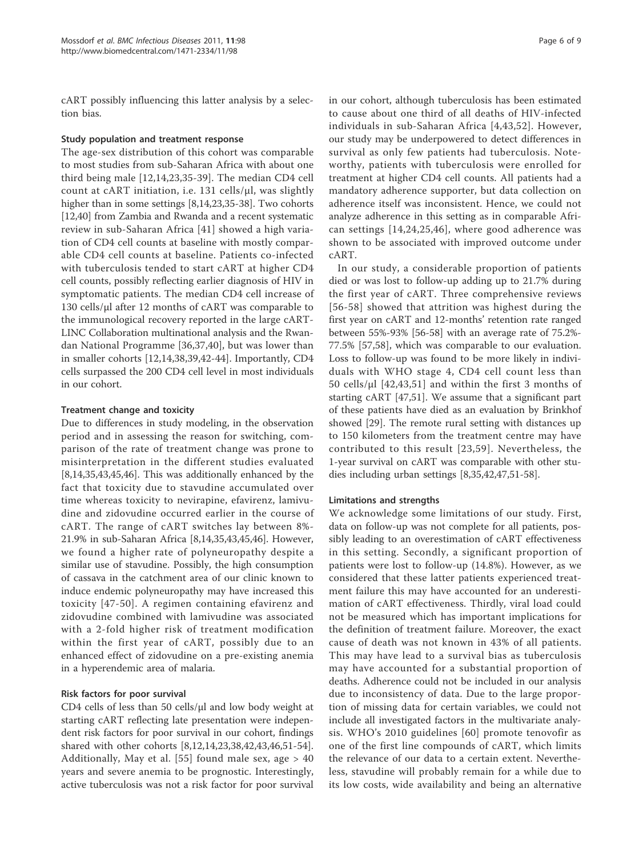cART possibly influencing this latter analysis by a selection bias.

#### Study population and treatment response

The age-sex distribution of this cohort was comparable to most studies from sub-Saharan Africa with about one third being male [12,14,23,35-39]. The median CD4 cell count at cART initiation, i.e. 131 cells/μl, was slightly higher than in some settings [8,14,23,35-38]. Two cohorts [12,40] from Zambia and Rwanda and a recent systematic review in sub-Saharan Africa [41] showed a high variation of CD4 cell counts at baseline with mostly comparable CD4 cell counts at baseline. Patients co-infected with tuberculosis tended to start cART at higher CD4 cell counts, possibly reflecting earlier diagnosis of HIV in symptomatic patients. The median CD4 cell increase of 130 cells/μl after 12 months of cART was comparable to the immunological recovery reported in the large cART-LINC Collaboration multinational analysis and the Rwandan National Programme [36,37,40], but was lower than in smaller cohorts [12,14,38,39,42-44]. Importantly, CD4 cells surpassed the 200 CD4 cell level in most individuals in our cohort.

# Treatment change and toxicity

Due to differences in study modeling, in the observation period and in assessing the reason for switching, comparison of the rate of treatment change was prone to misinterpretation in the different studies evaluated [8,14,35,43,45,46]. This was additionally enhanced by the fact that toxicity due to stavudine accumulated over time whereas toxicity to nevirapine, efavirenz, lamivudine and zidovudine occurred earlier in the course of cART. The range of cART switches lay between 8%- 21.9% in sub-Saharan Africa [8,14,35,43,45,46]. However, we found a higher rate of polyneuropathy despite a similar use of stavudine. Possibly, the high consumption of cassava in the catchment area of our clinic known to induce endemic polyneuropathy may have increased this toxicity [47-50]. A regimen containing efavirenz and zidovudine combined with lamivudine was associated with a 2-fold higher risk of treatment modification within the first year of cART, possibly due to an enhanced effect of zidovudine on a pre-existing anemia in a hyperendemic area of malaria.

# Risk factors for poor survival

CD4 cells of less than 50 cells/μl and low body weight at starting cART reflecting late presentation were independent risk factors for poor survival in our cohort, findings shared with other cohorts [8,12,14,23,38,42,43,46,51-54]. Additionally, May et al. [55] found male sex, age  $> 40$ years and severe anemia to be prognostic. Interestingly, active tuberculosis was not a risk factor for poor survival in our cohort, although tuberculosis has been estimated to cause about one third of all deaths of HIV-infected individuals in sub-Saharan Africa [4,43,52]. However, our study may be underpowered to detect differences in survival as only few patients had tuberculosis. Noteworthy, patients with tuberculosis were enrolled for treatment at higher CD4 cell counts. All patients had a mandatory adherence supporter, but data collection on adherence itself was inconsistent. Hence, we could not analyze adherence in this setting as in comparable African settings [14,24,25,46], where good adherence was shown to be associated with improved outcome under cART.

In our study, a considerable proportion of patients died or was lost to follow-up adding up to 21.7% during the first year of cART. Three comprehensive reviews [56-58] showed that attrition was highest during the first year on cART and 12-months' retention rate ranged between 55%-93% [56-58] with an average rate of 75.2%- 77.5% [57,58], which was comparable to our evaluation. Loss to follow-up was found to be more likely in individuals with WHO stage 4, CD4 cell count less than 50 cells/ $\mu$ l [42,43,51] and within the first 3 months of starting cART [47,51]. We assume that a significant part of these patients have died as an evaluation by Brinkhof showed [29]. The remote rural setting with distances up to 150 kilometers from the treatment centre may have contributed to this result [23,59]. Nevertheless, the 1-year survival on cART was comparable with other studies including urban settings [8,35,42,47,51-58].

# Limitations and strengths

We acknowledge some limitations of our study. First, data on follow-up was not complete for all patients, possibly leading to an overestimation of cART effectiveness in this setting. Secondly, a significant proportion of patients were lost to follow-up (14.8%). However, as we considered that these latter patients experienced treatment failure this may have accounted for an underestimation of cART effectiveness. Thirdly, viral load could not be measured which has important implications for the definition of treatment failure. Moreover, the exact cause of death was not known in 43% of all patients. This may have lead to a survival bias as tuberculosis may have accounted for a substantial proportion of deaths. Adherence could not be included in our analysis due to inconsistency of data. Due to the large proportion of missing data for certain variables, we could not include all investigated factors in the multivariate analysis. WHO's 2010 guidelines [60] promote tenovofir as one of the first line compounds of cART, which limits the relevance of our data to a certain extent. Nevertheless, stavudine will probably remain for a while due to its low costs, wide availability and being an alternative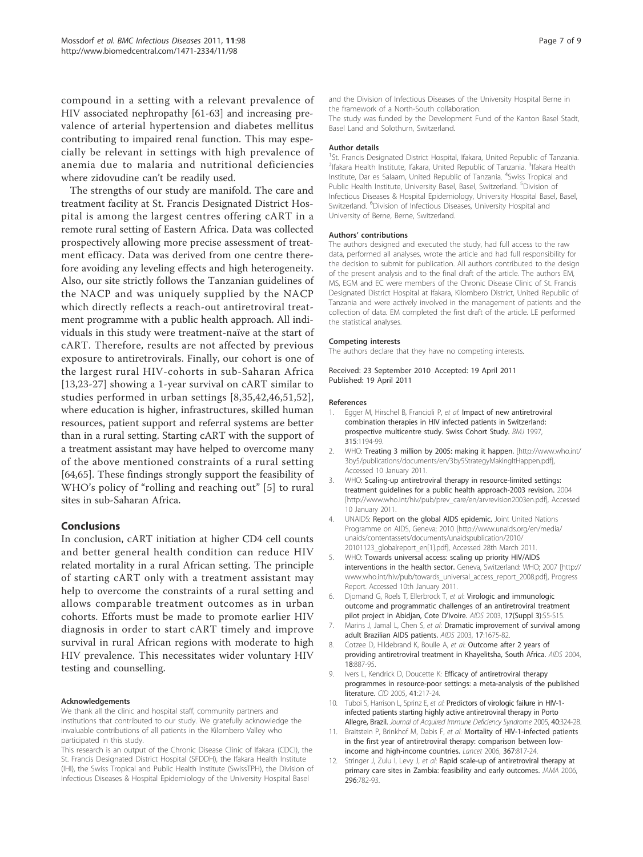compound in a setting with a relevant prevalence of HIV associated nephropathy [61-63] and increasing prevalence of arterial hypertension and diabetes mellitus contributing to impaired renal function. This may especially be relevant in settings with high prevalence of anemia due to malaria and nutritional deficiencies where zidovudine can't be readily used.

The strengths of our study are manifold. The care and treatment facility at St. Francis Designated District Hospital is among the largest centres offering cART in a remote rural setting of Eastern Africa. Data was collected prospectively allowing more precise assessment of treatment efficacy. Data was derived from one centre therefore avoiding any leveling effects and high heterogeneity. Also, our site strictly follows the Tanzanian guidelines of the NACP and was uniquely supplied by the NACP which directly reflects a reach-out antiretroviral treatment programme with a public health approach. All individuals in this study were treatment-naïve at the start of cART. Therefore, results are not affected by previous exposure to antiretrovirals. Finally, our cohort is one of the largest rural HIV-cohorts in sub-Saharan Africa [13,23-27] showing a 1-year survival on cART similar to studies performed in urban settings [8,35,42,46,51,52], where education is higher, infrastructures, skilled human resources, patient support and referral systems are better than in a rural setting. Starting cART with the support of a treatment assistant may have helped to overcome many of the above mentioned constraints of a rural setting [64,65]. These findings strongly support the feasibility of WHO's policy of "rolling and reaching out" [5] to rural sites in sub-Saharan Africa.

#### Conclusions

In conclusion, cART initiation at higher CD4 cell counts and better general health condition can reduce HIV related mortality in a rural African setting. The principle of starting cART only with a treatment assistant may help to overcome the constraints of a rural setting and allows comparable treatment outcomes as in urban cohorts. Efforts must be made to promote earlier HIV diagnosis in order to start cART timely and improve survival in rural African regions with moderate to high HIV prevalence. This necessitates wider voluntary HIV testing and counselling.

#### Acknowledgements

We thank all the clinic and hospital staff, community partners and institutions that contributed to our study. We gratefully acknowledge the invaluable contributions of all patients in the Kilombero Valley who participated in this study.

This research is an output of the Chronic Disease Clinic of Ifakara (CDCI), the St. Francis Designated District Hospital (SFDDH), the Ifakara Health Institute (IHI), the Swiss Tropical and Public Health Institute (SwissTPH), the Division of Infectious Diseases & Hospital Epidemiology of the University Hospital Basel

and the Division of Infectious Diseases of the University Hospital Berne in the framework of a North-South collaboration.

The study was funded by the Development Fund of the Kanton Basel Stadt, Basel Land and Solothurn, Switzerland.

#### Author details

<sup>1</sup>St. Francis Designated District Hospital, Ifakara, United Republic of Tanzania <sup>2</sup>Ifakara Health Institute, Ifakara, United Republic of Tanzania. <sup>3</sup>Ifakara Health Institute, Dar es Salaam, United Republic of Tanzania. <sup>4</sup>Swiss Tropical and Public Health Institute, University Basel, Basel, Switzerland. <sup>5</sup> Division of Infectious Diseases & Hospital Epidemiology, University Hospital Basel, Basel, Switzerland. <sup>6</sup>Division of Infectious Diseases, University Hospital and University of Berne, Berne, Switzerland.

#### Authors' contributions

The authors designed and executed the study, had full access to the raw data, performed all analyses, wrote the article and had full responsibility for the decision to submit for publication. All authors contributed to the design of the present analysis and to the final draft of the article. The authors EM, MS, EGM and EC were members of the Chronic Disease Clinic of St. Francis Designated District Hospital at Ifakara, Kilombero District, United Republic of Tanzania and were actively involved in the management of patients and the collection of data. EM completed the first draft of the article. LE performed the statistical analyses.

#### Competing interests

The authors declare that they have no competing interests.

Received: 23 September 2010 Accepted: 19 April 2011 Published: 19 April 2011

#### References

- Egger M, Hirschel B, Francioli P, et al: Impact of new antiretroviral combination therapies in HIV infected patients in Switzerland: prospective multicentre study. Swiss Cohort Study. BMJ 1997, 315:1194-99.
- 2. WHO: Treating 3 million by 2005: making it happen. [http://www.who.int/ 3by5/publications/documents/en/3by5StrategyMakingItHappen.pdf], Accessed 10 January 2011.
- 3. WHO: Scaling-up antiretroviral therapy in resource-limited settings: treatment guidelines for a public health approach-2003 revision. 2004 [http://www.who.int/hiv/pub/prev\_care/en/arvrevision2003en.pdf], Accessed 10 January 2011.
- 4. UNAIDS: Report on the global AIDS epidemic. Joint United Nations Programme on AIDS, Geneva; 2010 [http://www.unaids.org/en/media/ unaids/contentassets/documents/unaidspublication/2010/ 20101123\_globalreport\_en[1].pdf], Accessed 28th March 2011.
- 5. WHO: Towards universal access: scaling up priority HIV/AIDS interventions in the health sector. Geneva, Switzerland: WHO; 2007 [http:// www.who.int/hiv/pub/towards\_universal\_access\_report\_2008.pdf], Progress Report. Accessed 10th January 2011.
- 6. Djomand G, Roels T, Ellerbrock T, et al: Virologic and immunologic outcome and programmatic challenges of an antiretroviral treatment pilot project in Abidjan, Cote D'Ivoire. AIDS 2003, 17(Suppl 3):S5-S15.
- 7. Marins J, Jamal L, Chen S, et al: Dramatic improvement of survival among adult Brazilian AIDS patients. AIDS 2003, 17:1675-82.
- 8. Cotzee D, Hildebrand K, Boulle A, et al: Outcome after 2 years of providing antiretroviral treatment in Khayelitsha, South Africa. AIDS 2004, 18:887-95.
- 9. Ivers L, Kendrick D, Doucette K: Efficacy of antiretroviral therapy programmes in resource-poor settings: a meta-analysis of the published literature. CID 2005, 41:217-24.
- 10. Tuboi S, Harrison L, Sprinz E, et al: Predictors of virologic failure in HIV-1infected patients starting highly active antiretroviral therapy in Porto Allegre, Brazil. Journal of Acquired Immune Deficiency Syndrome 2005, 40:324-28.
- 11. Braitstein P, Brinkhof M, Dabis F, et al: Mortality of HIV-1-infected patients in the first year of antiretroviral therapy: comparison between lowincome and high-income countries. Lancet 2006, 367:817-24.
- 12. Stringer J, Zulu I, Levy J, et al: Rapid scale-up of antiretroviral therapy at primary care sites in Zambia: feasibility and early outcomes. JAMA 2006, 296:782-93.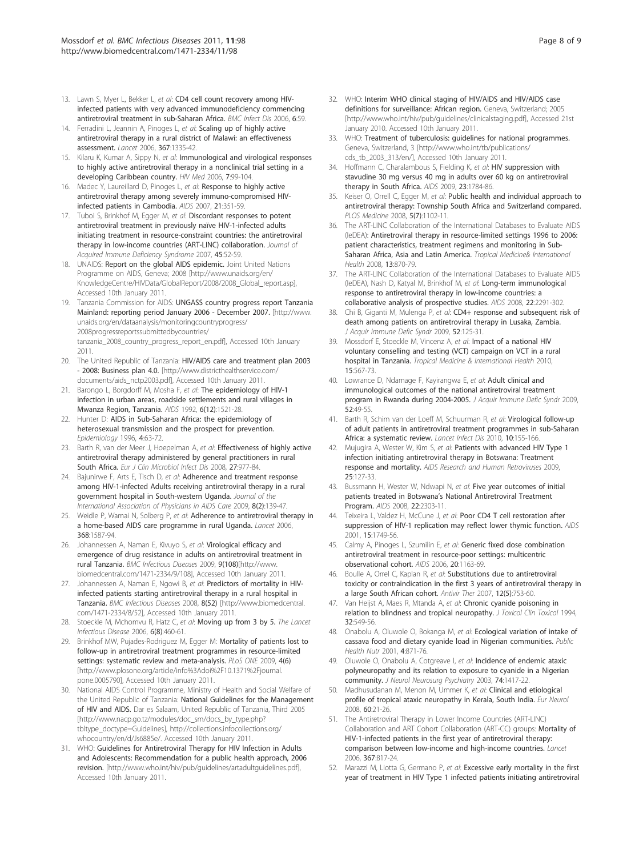- 13. Lawn S, Myer L, Bekker L, et al: CD4 cell count recovery among HIVinfected patients with very advanced immunodeficiency commencing antiretroviral treatment in sub-Saharan Africa. BMC Infect Dis 2006, 6:59.
- 14. Ferradini L, Jeannin A, Pinoges L, et al: Scaling up of highly active antiretroviral therapy in a rural district of Malawi: an effectiveness assessment. Lancet 2006, 367:1335-42.
- 15. Kilaru K, Kumar A, Sippy N, et al: Immunological and virological responses to highly active antiretroviral therapy in a nonclinical trial setting in a developing Caribbean country. HIV Med 2006, 7:99-104.
- 16. Madec Y, Laureillard D, Pinoges L, et al: Response to highly active antiretroviral therapy among severely immuno-compromised HIVinfected patients in Cambodia. AIDS 2007, 21:351-59.
- 17. Tuboi S, Brinkhof M, Egger M, et al: Discordant responses to potent antiretroviral treatment in previously naïve HIV-1-infected adults initiating treatment in resource-constraint countries: the antiretroviral therapy in low-income countries (ART-LINC) collaboration. Journal of Acquired Immune Deficiency Syndrome 2007, 45:52-59.
- 18. UNAIDS: Report on the global AIDS epidemic. Joint United Nations Programme on AIDS, Geneva; 2008 [http://www.unaids.org/en/ KnowledgeCentre/HIVData/GlobalReport/2008/2008\_Global\_report.asp], Accessed 10th January 2011.
- 19. Tanzania Commission for AIDS: UNGASS country progress report Tanzania Mainland: reporting period January 2006 - December 2007. [http://www. unaids.org/en/dataanalysis/monitoringcountryprogress/ 2008progressreportssubmittedbycountries/ tanzania\_2008\_country\_progress\_report\_en.pdf], Accessed 10th January 2011.
- 20. The United Republic of Tanzania: HIV/AIDS care and treatment plan 2003 - 2008: Business plan 4.0. [http://www.districthealthservice.com/ documents/aids\_nctp2003.pdf], Accessed 10th January 2011.
- 21. Barongo L, Borgdorff M, Mosha F, et al: The epidemiology of HIV-1 infection in urban areas, roadside settlements and rural villages in Mwanza Region, Tanzania. AIDS 1992, 6(12):1521-28.
- 22. Hunter D: AIDS in Sub-Saharan Africa: the epidemiology of heterosexual transmission and the prospect for prevention. Epidemiology 1996, 4:63-72.
- 23. Barth R, van der Meer J, Hoepelman A, et al: Effectiveness of highly active antiretroviral therapy administered by general practitioners in rural South Africa. Eur J Clin Microbiol Infect Dis 2008, 27:977-84.
- 24. Bajunirwe F, Arts E, Tisch D, et al: Adherence and treatment response among HIV-1-infected Adults receiving antiretroviral therapy in a rural government hospital in South-western Uganda. Journal of the International Association of Physicians in AIDS Care 2009, 8(2):139-47.
- 25. Weidle P, Wamai N, Solberg P, et al: Adherence to antiretroviral therapy in a home-based AIDS care programme in rural Uganda. Lancet 2006, 368:1587-94.
- 26. Johannessen A, Naman E, Kivuyo S, et al: Virological efficacy and emergence of drug resistance in adults on antiretroviral treatment in rural Tanzania. BMC Infectious Diseases 2009, 9(108)[http://www. biomedcentral.com/1471-2334/9/108], Accessed 10th January 2011.
- 27. Johannessen A, Naman E, Ngowi B, et al: Predictors of mortality in HIVinfected patients starting antiretroviral therapy in a rural hospital in Tanzania. BMC Infectious Diseases 2008, 8(52) [http://www.biomedcentral. com/1471-2334/8/52], Accessed 10th January 2011.
- 28. Stoeckle M, Mchomvu R, Hatz C, et al: Moving up from 3 by 5. The Lancet Infectious Disease 2006, 6(8):460-61.
- 29. Brinkhof MW, Pujades-Rodriguez M, Egger M: Mortality of patients lost to follow-up in antiretroviral treatment programmes in resource-limited settings: systematic review and meta-analysis. PLoS ONE 2009, 4(6) [http://www.plosone.org/article/info%3Adoi%2F10.1371%2Fjournal. pone.0005790], Accessed 10th January 2011.
- 30. National AIDS Control Programme, Ministry of Health and Social Welfare of the United Republic of Tanzania: National Guidelines for the Management of HIV and AIDS. Dar es Salaam, United Republic of Tanzania, Third 2005 [http://www.nacp.go.tz/modules/doc\_sm/docs\_by\_type.php? tbltype\_doctype=Guidelines], http://collections.infocollections.org/ whocountry/en/d/Js6885e/. Accessed 10th January 2011.
- 31. WHO: Guidelines for Antiretroviral Therapy for HIV Infection in Adults and Adolescents: Recommendation for a public health approach, 2006 revision. [http://www.who.int/hiv/pub/guidelines/artadultguidelines.pdf], Accessed 10th January 2011.
- 32. WHO: Interim WHO clinical staging of HIV/AIDS and HIV/AIDS case definitions for surveillance: African region. Geneva, Switzerland; 2005 [http://www.who.int/hiv/pub/guidelines/clinicalstaging.pdf], Accessed 21st January 2010. Accessed 10th January 2011.
- 33. WHO: Treatment of tuberculosis: guidelines for national programmes. Geneva, Switzerland, 3 [http://www.who.int/tb/publications/ cds tb 2003 313/en/], Accessed 10th January 2011.
- 34. Hoffmann C, Charalambous S, Fielding K, et al: HIV suppression with stavudine 30 mg versus 40 mg in adults over 60 kg on antiretroviral therapy in South Africa. AIDS 2009, 23:1784-86.
- 35. Keiser O, Orrell C, Egger M, et al: Public health and individual approach to antiretroviral therapy: Township South Africa and Switzerland compared. PLOS Medicine 2008, 5(7):1102-11.
- 36. The ART-LINC Collaboration of the International Databases to Evaluate AIDS (IeDEA): Antiretroviral therapy in resource-limited settings 1996 to 2006: patient characteristics, treatment regimens and monitoring in Sub-Saharan Africa, Asia and Latin America. Tropical Medicine& International Health 2008, 13:870-79.
- 37. The ART-LINC Collaboration of the International Databases to Evaluate AIDS (IeDEA), Nash D, Katyal M, Brinkhof M, et al: Long-term immunological response to antiretroviral therapy in low-income countries: a collaborative analysis of prospective studies. AIDS 2008, 22:2291-302.
- 38. Chi B, Giganti M, Mulenga P, et al: CD4+ response and subsequent risk of death among patients on antiretroviral therapy in Lusaka, Zambia. J Acquir Immune Defic Syndr 2009, 52:125-31.
- 39. Mossdorf E, Stoeckle M, Vincenz A, et al: Impact of a national HIV voluntary conselling and testing (VCT) campaign on VCT in a rural hospital in Tanzania. Tropical Medicine & International Health 2010, 15:567-73.
- 40. Lowrance D, Ndamage F, Kayirangwa E, et al: Adult clinical and immunological outcomes of the national antiretroviral treatment program in Rwanda during 2004-2005. J Acquir Immune Defic Syndr 2009, 52:49-55.
- 41. Barth R, Schim van der Loeff M, Schuurman R, et al: Virological follow-up of adult patients in antiretroviral treatment programmes in sub-Saharan Africa: a systematic review. Lancet Infect Dis 2010, 10:155-166.
- 42. Mujugira A, Wester W, Kim S, et al: Patients with advanced HIV Type 1 infection initiating antiretroviral therapy in Botswana: Treatment response and mortality. AIDS Research and Human Retroviruses 2009, 25:127-33.
- 43. Bussmann H, Wester W, Ndwapi N, et al: Five year outcomes of initial patients treated in Botswana's National Antiretroviral Treatment Program. AIDS 2008, 22:2303-11.
- 44. Teixeira L, Valdez H, McCune J, et al: Poor CD4 T cell restoration after suppression of HIV-1 replication may reflect lower thymic function. AIDS 2001, 15:1749-56.
- 45. Calmy A, Pinoges L, Szumilin E, et al: Generic fixed dose combination antiretroviral treatment in resource-poor settings: multicentric observational cohort. AIDS 2006, 20:1163-69.
- 46. Boulle A, Orrel C, Kaplan R, et al: Substitutions due to antiretroviral toxicity or contraindication in the first 3 years of antiretroviral therapy in a large South African cohort. Antivir Ther 2007, 12(5):753-60.
- 47. Van Heijst A, Maes R, Mtanda A, et al: Chronic cyanide poisoning in relation to blindness and tropical neuropathy. J Toxicol Clin Toxicol 1994, 32:549-56.
- 48. Onabolu A, Oluwole O, Bokanga M, et al: Ecological variation of intake of cassava food and dietary cyanide load in Nigerian communities. Public Health Nutr 2001, 4:871-76.
- 49. Oluwole O, Onabolu A, Cotgreave I, et al: Incidence of endemic ataxic polyneuropathy and its relation to exposure to cyanide in a Nigerian community. J Neurol Neurosurg Psychiatry 2003, 74:1417-22.
- 50. Madhusudanan M, Menon M, Ummer K, et al: Clinical and etiological profile of tropical ataxic neuropathy in Kerala, South India. Eur Neurol 2008, 60:21-26.
- 51. The Antiretroviral Therapy in Lower Income Countries (ART-LINC) Collaboration and ART Cohort Collaboration (ART-CC) groups: Mortality of HIV-1-infected patients in the first year of antiretroviral therapy: comparison between low-income and high-income countries. Lancet 2006, 367:817-24.
- 52. Marazzi M, Liotta G, Germano P, et al: Excessive early mortality in the first year of treatment in HIV Type 1 infected patients initiating antiretroviral